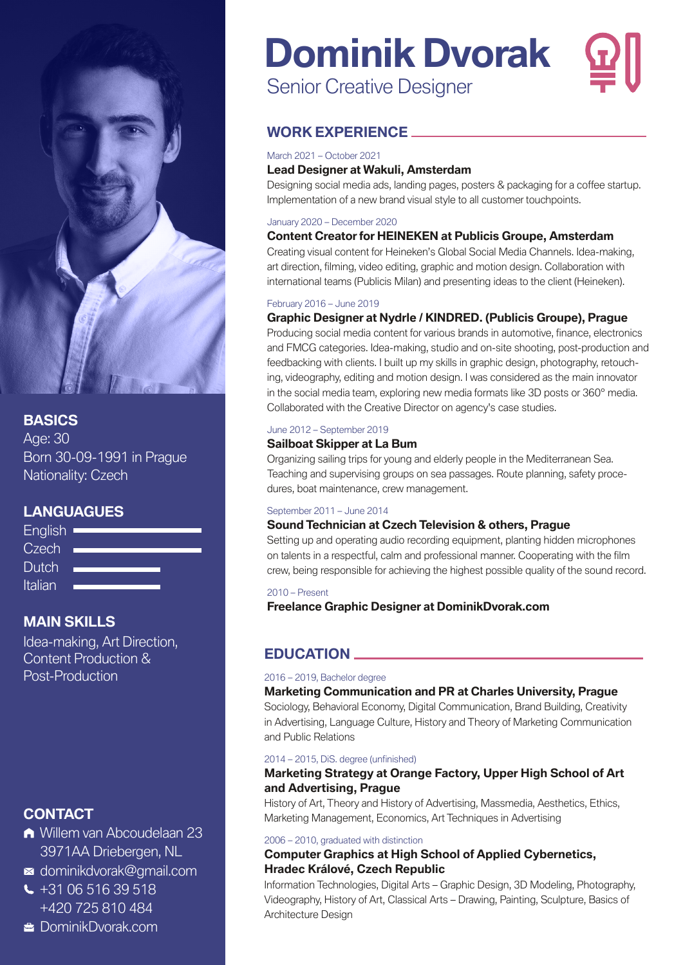

#### **BASICS**

Age: 30 Born 30-09-1991 in Prague Nationality: Czech

#### **LANGUAGUES**



#### **MAIN SKILLS**

Idea-making, Art Direction, Content Production & Post-Production

#### **CONTACT**

- [Willem van Abcoudelaan 23](https://goo.gl/maps/7MQvLcActBS4RZaX9)  3971AA Driebergen, NL
- [dominikdvorak@gmail.com](mailto:dominikdvorak@gmail.com)
- $\leftarrow$  [+31 06 516 39 518](tel:+310651639518) [+420 725 810 484](tel:+420725810484)

#### **E** [DominikDvorak.com](https://www.dominikdvorak.com/)

# **Dominik Dvorak**

Senior Creative Designer

#### **WORK EXPERIENCE**

#### March 2021 – October 2021

#### **Lead Designer at [Wakuli,](https://www.linkedin.com/company/wakulimarket/) Amsterdam**

Designing social media ads, landing pages, posters & packaging for a coffee startup. Implementation of a new brand visual style to all customer touchpoints.

#### January 2020 – December 2020

#### **Content Creator for HEINEKEN at [Publicis Groupe,](https://www.linkedin.com/company/publicis-groupe/) Amsterdam**

Creating visual content for Heineken's Global Social Media Channels. Idea-making, art direction, filming, video editing, graphic and motion design. Collaboration with international teams (Publicis Milan) and presenting ideas to the client (Heineken).

#### February 2016 – June 2019

#### **Graphic Designer at Nydrle / [KINDRED.](https://www.linkedin.com/company/kindred-group/) (Publicis Groupe), Prague**

Producing social media content for various brands in automotive, finance, electronics and FMCG categories. Idea-making, studio and on-site shooting, post-production and feedbacking with clients. I built up my skills in graphic design, photography, retouching, videography, editing and motion design. I was considered as the main innovator in the social media team, exploring new media formats like 3D posts or 360° media. Collaborated with the Creative Director on agency's case studies.

#### June 2012 – September 2019

#### **Sailboat Skipper at La Bum**

Organizing sailing trips for young and elderly people in the Mediterranean Sea. Teaching and supervising groups on sea passages. Route planning, safety procedures, boat maintenance, crew management.

#### September 2011 – June 2014

#### **Sound Technician at Czech Television & others, Prague**

Setting up and operating audio recording equipment, planting hidden microphones on talents in a respectful, calm and professional manner. Cooperating with the film crew, being responsible for achieving the highest possible quality of the sound record.

#### 2010 – Present

**Freelance Graphic Designer at DominikDvorak.com**

#### **EDUCATION**

#### 2016 – 2019, Bachelor degree

#### **Marketing Communication and PR at Charles University, Prague**

Sociology, Behavioral Economy, Digital Communication, Brand Building, Creativity in Advertising, Language Culture, History and Theory of Marketing Communication and Public Relations

#### 2014 – 2015, DiS. degree (unfinished)

#### **Marketing Strategy at Orange Factory, Upper High School of Art and Advertising, Prague**

History of Art, Theory and History of Advertising, Massmedia, Aesthetics, Ethics, Marketing Management, Economics, Art Techniques in Advertising

#### 2006 – 2010, graduated with distinction

#### **Computer Graphics at High School of Applied Cybernetics, Hradec Králové, Czech Republic**

Information Technologies, Digital Arts – Graphic Design, 3D Modeling, Photography, Videography, History of Art, Classical Arts – Drawing, Painting, Sculpture, Basics of Architecture Design